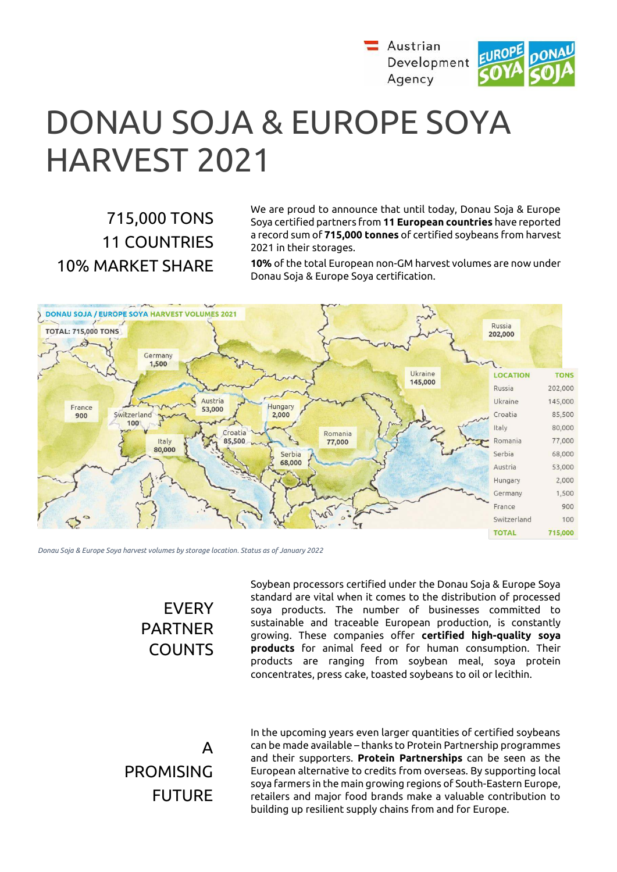

# DONAU SOJA & EUROPE SOYA HARVEST 2021

# 715,000 TONS 11 COUNTRIES 10% MARKET SHARE

We are proud to announce that until today, Donau Soja & Europe Soya certified partners from **11 European countries** have reported a record sum of **715,000 tonnes** of certified soybeans from harvest 2021 in their storages.

**10%** of the total European non-GM harvest volumes are now under Donau Soja & Europe Soya certification.



*Donau Soja & Europe Soya harvest volumes by storage location. Status as of January 2022*

## EVERY PARTNER COUNTS

Soybean processors certified under the Donau Soja & Europe Soya standard are vital when it comes to the distribution of processed soya products. The number of businesses committed to sustainable and traceable European production, is constantly growing. These companies offer **certified high-quality soya products** for animal feed or for human consumption. Their products are ranging from soybean meal, soya protein concentrates, press cake, toasted soybeans to oil or lecithin.

A PROMISING FUTURE

In the upcoming years even larger quantities of certified soybeans can be made available – thanks to Protein Partnership programmes and their supporters. **Protein Partnerships** can be seen as the European alternative to credits from overseas. By supporting local soya farmers in the main growing regions of South-Eastern Europe, retailers and major food brands make a valuable contribution to building up resilient supply chains from and for Europe.